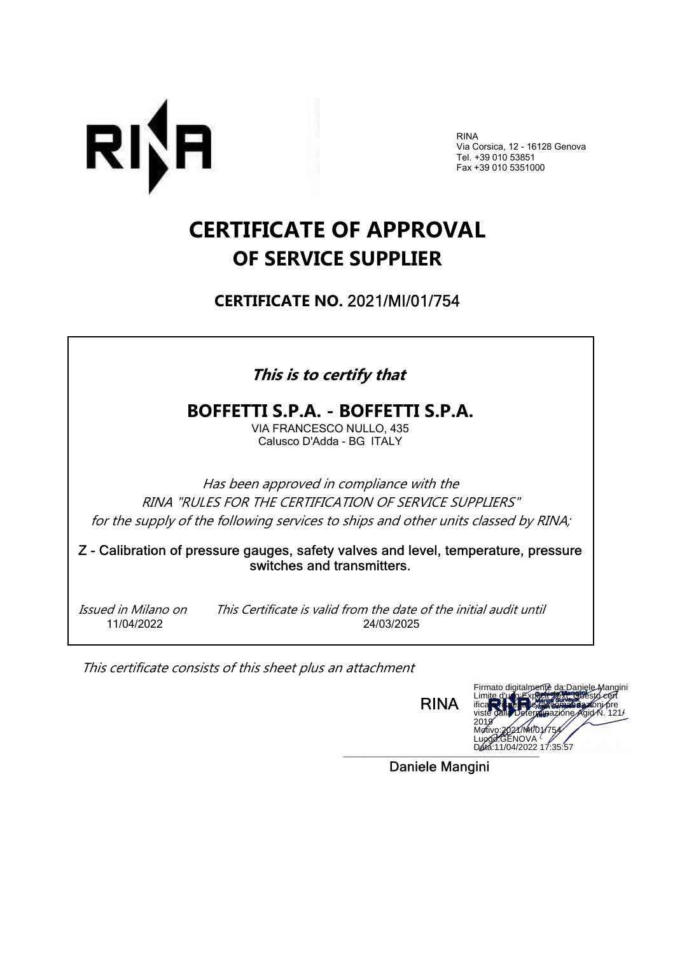

RINA Via Corsica, 12 - 16128 Genova Tel. +39 010 53851 Fax +39 010 5351000

# CERTIFICATE OF APPROVAL OF SERVICE SUPPLIER

CERTIFICATE NO. 2021/MI/01/754

### This is to certify that

### BOFFETTI S.P.A. - BOFFETTI S.P.A.

VIA FRANCESCO NULLO, 435 Calusco D'Adda - BG ITALY

Has been approved in compliance with the RINA "RULES FOR THE CERTIFICATION OF SERVICE SUPPLIERS" for the supply of the following services to ships and other units classed by RINA;

Z - Calibration of pressure gauges, safety valves and level, temperature, pressure switches and transmitters.

 Issued in Milano on This Certificate is valid from the date of the initial audit until 11/04/2022 24/03/2025

This certificate consists of this sheet plus an attachment

RINA



Daniele Mangini